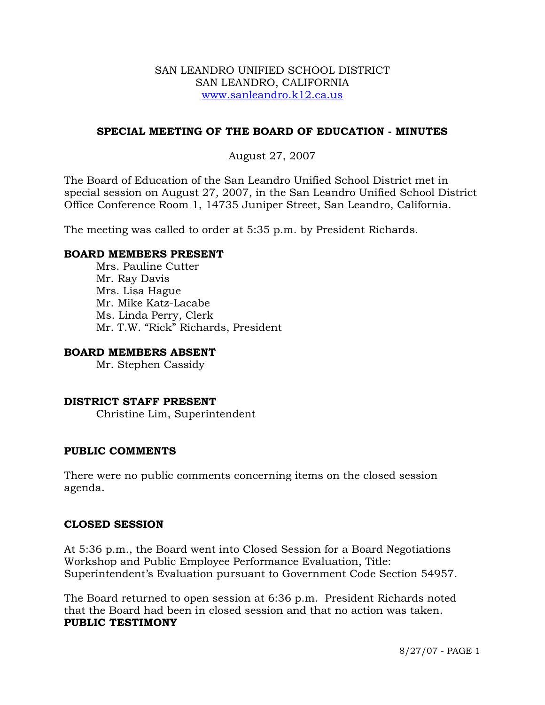## SAN LEANDRO UNIFIED SCHOOL DISTRICT SAN LEANDRO, CALIFORNIA www.sanleandro.k12.ca.us

# **SPECIAL MEETING OF THE BOARD OF EDUCATION - MINUTES**

# August 27, 2007

The Board of Education of the San Leandro Unified School District met in special session on August 27, 2007, in the San Leandro Unified School District Office Conference Room 1, 14735 Juniper Street, San Leandro, California.

The meeting was called to order at 5:35 p.m. by President Richards.

### **BOARD MEMBERS PRESENT**

Mrs. Pauline Cutter Mr. Ray Davis Mrs. Lisa Hague Mr. Mike Katz-Lacabe Ms. Linda Perry, Clerk Mr. T.W. "Rick" Richards, President

### **BOARD MEMBERS ABSENT**

Mr. Stephen Cassidy

## **DISTRICT STAFF PRESENT**

Christine Lim, Superintendent

#### **PUBLIC COMMENTS**

There were no public comments concerning items on the closed session agenda.

#### **CLOSED SESSION**

At 5:36 p.m., the Board went into Closed Session for a Board Negotiations Workshop and Public Employee Performance Evaluation, Title: Superintendent's Evaluation pursuant to Government Code Section 54957.

The Board returned to open session at 6:36 p.m. President Richards noted that the Board had been in closed session and that no action was taken. **PUBLIC TESTIMONY**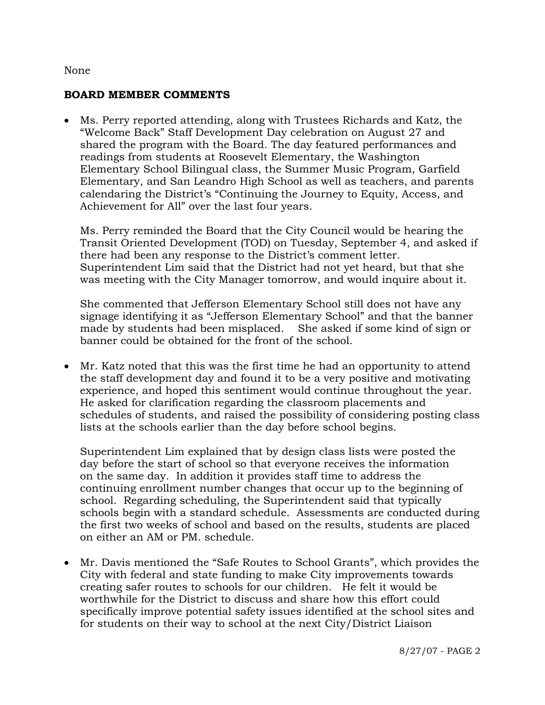### None

## **BOARD MEMBER COMMENTS**

• Ms. Perry reported attending, along with Trustees Richards and Katz, the "Welcome Back" Staff Development Day celebration on August 27 and shared the program with the Board. The day featured performances and readings from students at Roosevelt Elementary, the Washington Elementary School Bilingual class, the Summer Music Program, Garfield Elementary, and San Leandro High School as well as teachers, and parents calendaring the District's "Continuing the Journey to Equity, Access, and Achievement for All" over the last four years.

 Ms. Perry reminded the Board that the City Council would be hearing the Transit Oriented Development (TOD) on Tuesday, September 4, and asked if there had been any response to the District's comment letter. Superintendent Lim said that the District had not yet heard, but that she was meeting with the City Manager tomorrow, and would inquire about it.

 She commented that Jefferson Elementary School still does not have any signage identifying it as "Jefferson Elementary School" and that the banner made by students had been misplaced. She asked if some kind of sign or banner could be obtained for the front of the school.

• Mr. Katz noted that this was the first time he had an opportunity to attend the staff development day and found it to be a very positive and motivating experience, and hoped this sentiment would continue throughout the year. He asked for clarification regarding the classroom placements and schedules of students, and raised the possibility of considering posting class lists at the schools earlier than the day before school begins.

 Superintendent Lim explained that by design class lists were posted the day before the start of school so that everyone receives the information on the same day. In addition it provides staff time to address the continuing enrollment number changes that occur up to the beginning of school. Regarding scheduling, the Superintendent said that typically schools begin with a standard schedule. Assessments are conducted during the first two weeks of school and based on the results, students are placed on either an AM or PM. schedule.

• Mr. Davis mentioned the "Safe Routes to School Grants", which provides the City with federal and state funding to make City improvements towards creating safer routes to schools for our children. He felt it would be worthwhile for the District to discuss and share how this effort could specifically improve potential safety issues identified at the school sites and for students on their way to school at the next City/District Liaison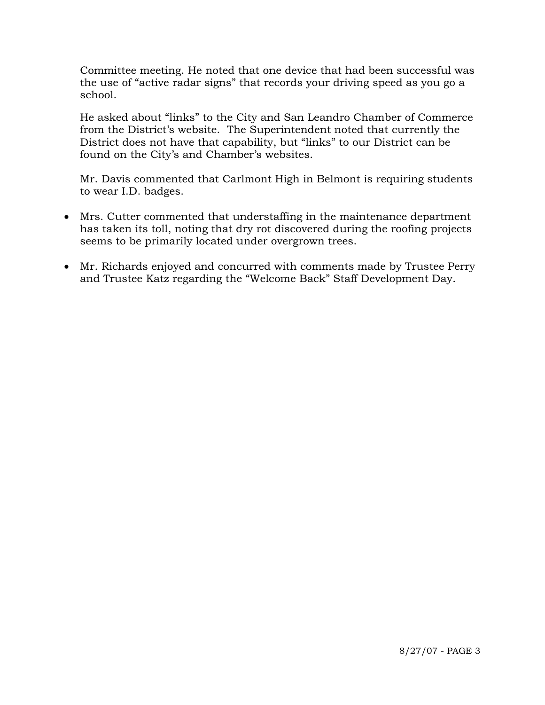Committee meeting. He noted that one device that had been successful was the use of "active radar signs" that records your driving speed as you go a school.

He asked about "links" to the City and San Leandro Chamber of Commerce from the District's website. The Superintendent noted that currently the District does not have that capability, but "links" to our District can be found on the City's and Chamber's websites.

 Mr. Davis commented that Carlmont High in Belmont is requiring students to wear I.D. badges.

- Mrs. Cutter commented that understaffing in the maintenance department has taken its toll, noting that dry rot discovered during the roofing projects seems to be primarily located under overgrown trees.
- Mr. Richards enjoyed and concurred with comments made by Trustee Perry and Trustee Katz regarding the "Welcome Back" Staff Development Day.